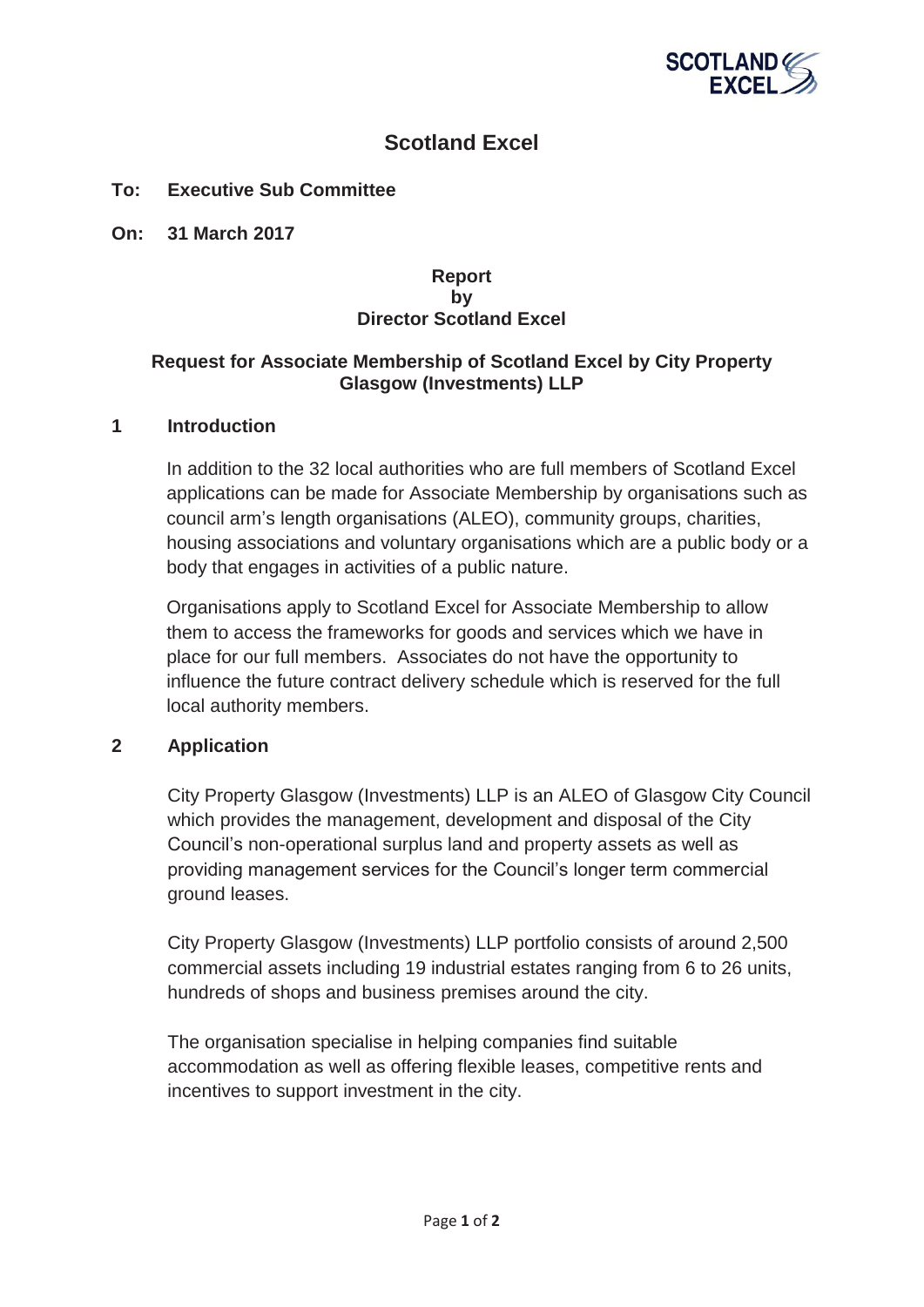

# **Scotland Excel**

## **To: Executive Sub Committee**

**On: 31 March 2017** 

## **Report by Director Scotland Excel**

# **Request for Associate Membership of Scotland Excel by City Property Glasgow (Investments) LLP**

#### **1 Introduction**

In addition to the 32 local authorities who are full members of Scotland Excel applications can be made for Associate Membership by organisations such as council arm's length organisations (ALEO), community groups, charities, housing associations and voluntary organisations which are a public body or a body that engages in activities of a public nature.

Organisations apply to Scotland Excel for Associate Membership to allow them to access the frameworks for goods and services which we have in place for our full members. Associates do not have the opportunity to influence the future contract delivery schedule which is reserved for the full local authority members.

## **2 Application**

City Property Glasgow (Investments) LLP is an ALEO of Glasgow City Council which provides the management, development and disposal of the City Council's non-operational surplus land and property assets as well as providing management services for the Council's longer term commercial ground leases.

City Property Glasgow (Investments) LLP portfolio consists of around 2,500 commercial assets including 19 industrial estates ranging from 6 to 26 units, hundreds of shops and business premises around the city.

The organisation specialise in helping companies find suitable accommodation as well as offering flexible leases, competitive rents and incentives to support investment in the city.